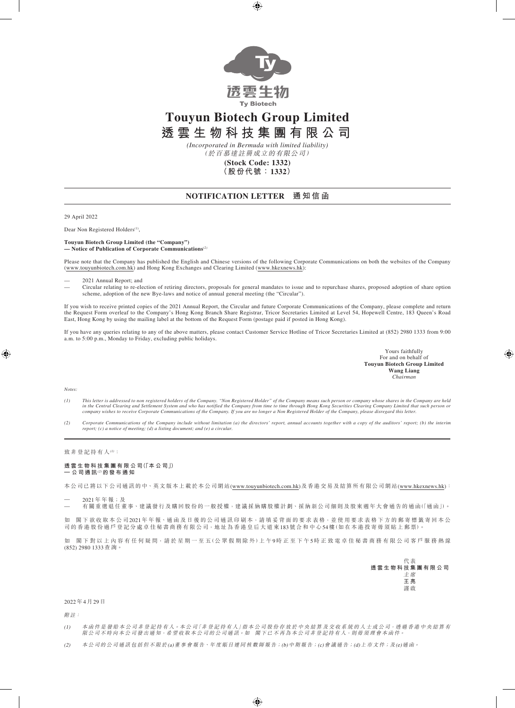

## **Touyun Biotech Group Limited**

**透雲生物科技集團有限公司**

(於百慕達註冊成立的有限公司) *(Incorporated in Bermuda with limited liability)*

**(Stock Code: 1332)**

**(股份代號:1332)**

## **NOTIFICATION LETTER 通 知 信 函**

29 April 2022

Dear Non Registered Holders*(1)*,

**Touyun Biotech Group Limited (the "Company") — Notice of Publication of Corporate Communications***(2)*

Please note that the Company has published the English and Chinese versions of the following Corporate Communications on both the websites of the Company (www.touyunbiotech.com.hk) and Hong Kong Exchanges and Clearing Limited (<www.hkexnews.hk>):

— 2021 Annual Report; and

— Circular relating to re-election of retiring directors, proposals for general mandates to issue and to repurchase shares, proposed adoption of share option scheme, adoption of the new Bye-laws and notice of annual general meeting (the "Circular").

If you wish to receive printed copies of the 2021 Annual Report, the Circular and future Corporate Communications of the Company, please complete and return the Request Form overleaf to the Company's Hong Kong Branch Share Registrar, Tricor Secretaries Limited at Level 54, Hopewell Centre, 183 Queen's Road East, Hong Kong by using the mailing label at the bottom of the Request Form (postage paid if posted in Hong Kong).

If you have any queries relating to any of the above matters, please contact Customer Service Hotline of Tricor Secretaries Limited at (852) 2980 1333 from 9:00 a.m. to 5:00 p.m., Monday to Friday, excluding public holidays.

> Yours faithfully For and on behalf of **Touyun Biotech Group Limited Wang Liang** *Chairman*

*Notes:*

- (1) This letter is addressed to non registered holders of the Company. "Non Registered Holder" of the Company means such person or company whose shares in the Company are held<br>in the Central Clearing and Settlement System
- *(2) Corporate Communications of the Company include without limitation (a) the directors' report, annual accounts together with a copy of the auditors' report; (b) the interim report; (c) a notice of meeting; (d) a listing document; and (e) a circular.*

致 非 登 記 持 有 人  $^{(l)}$  :

**透 雲 生 物 科 技 集 團 有 限 公 司(「本 公 司」) — 公 司 通 訊**(2) **的 發 布 通 知**

本公司已將以下公司通訊的中、英文版本上載於本公司網站(www.touyunbiotech.com.hk)及香港交易及結算所有限公司網站([www.hkexnews.hk\)](www.hkexnews.hk):

— 2021年 年 報;及

— 有關重選退任董事、建議發行及購回股份的一般授權,建議採納購股權計劃、採納新公司細則及股東週年大會通告的通函(「通函」)。

如 閣下欲收取本公司2021年年報、通函及日後的公司通訊印刷本,請填妥背面的要求表格,並使用要求表格下方的郵寄標籤寄回本公 司 的 香 港 股 份 過 戶 登 記 分 處 卓 佳 秘 書 商 務 有 限 公 司,地 址 為 香 港 皇 后 大 道 東 183 號 合 和 中 心 54 樓 (如 在 本 港 投 寄 毋 須 貼 上 郵 票)。

如 閣下對 以 上 內 容 有 任 何 疑 問,請 於 星 期 一 至 五 (公 眾 假 期 除 外) 上 午 9時 正 至 下 午 5 時 正 致 電 卓 佳 秘 書 商 務 有 限 公 司 客 戶 服 務 熱 線 (852) 2980 1333查 詢。

|  |  |  | 代表           |  |  |  |
|--|--|--|--------------|--|--|--|
|  |  |  | 透雲生物科技集團有限公司 |  |  |  |
|  |  |  | 主席           |  |  |  |
|  |  |  | 王亮           |  |  |  |
|  |  |  | 謹啟           |  |  |  |

## 2022年4月29日

附註:

(1) 本 函 件 是 發 給 本 公 司 非 登 記 持 有 人 。本 公 司 「非 登 記 持 有 人 」指 本 公 司 股 份 存 放 於 中 央 結 算 及 交 收 系 統 的 人 士 或 公 司 , 透 過 香 港 中 央 結 算 有 限公司不時向本公司發出通知,希望收取本公司的公司通訊。如 閣下已不再為本公司非登記持有人,則毋須理會本函件